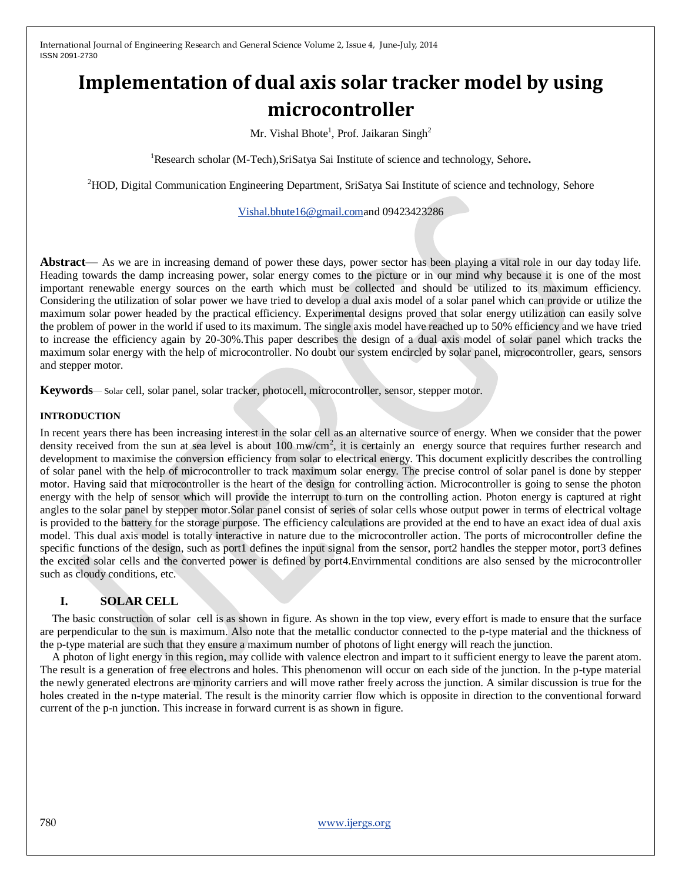# **Implementation of dual axis solar tracker model by using microcontroller**

Mr. Vishal Bhote<sup>1</sup>, Prof. Jaikaran Singh<sup>2</sup>

<sup>1</sup>Research scholar (M-Tech), SriSatya Sai Institute of science and technology, Sehore.

<sup>2</sup>HOD, Digital Communication Engineering Department, SriSatya Sai Institute of science and technology, Sehore

[Vishal.bhute16@gmail.coma](mailto:Vishal.bhute16@gmail.com)nd 09423423286

**Abstract**— As we are in increasing demand of power these days, power sector has been playing a vital role in our day today life. Heading towards the damp increasing power, solar energy comes to the picture or in our mind why because it is one of the most important renewable energy sources on the earth which must be collected and should be utilized to its maximum efficiency. Considering the utilization of solar power we have tried to develop a dual axis model of a solar panel which can provide or utilize the maximum solar power headed by the practical efficiency. Experimental designs proved that solar energy utilization can easily solve the problem of power in the world if used to its maximum. The single axis model have reached up to 50% efficiency and we have tried to increase the efficiency again by 20-30%.This paper describes the design of a dual axis model of solar panel which tracks the maximum solar energy with the help of microcontroller. No doubt our system encircled by solar panel, microcontroller, gears, sensors and stepper motor.

**Keywords**— Solar cell, solar panel, solar tracker, photocell, microcontroller, sensor, stepper motor.

## **INTRODUCTION**

In recent years there has been increasing interest in the solar cell as an alternative source of energy. When we consider that the power density received from the sun at sea level is about 100 mw/cm<sup>2</sup>, it is certainly an energy source that requires further research and development to maximise the conversion efficiency from solar to electrical energy. This document explicitly describes the controlling of solar panel with the help of microcontroller to track maximum solar energy. The precise control of solar panel is done by stepper motor. Having said that microcontroller is the heart of the design for controlling action. Microcontroller is going to sense the photon energy with the help of sensor which will provide the interrupt to turn on the controlling action. Photon energy is captured at right angles to the solar panel by stepper motor.Solar panel consist of series of solar cells whose output power in terms of electrical voltage is provided to the battery for the storage purpose. The efficiency calculations are provided at the end to have an exact idea of dual axis model. This dual axis model is totally interactive in nature due to the microcontroller action. The ports of microcontroller define the specific functions of the design, such as port1 defines the input signal from the sensor, port2 handles the stepper motor, port3 defines the excited solar cells and the converted power is defined by port4.Envirnmental conditions are also sensed by the microcontroller such as cloudy conditions, etc.

## **I. SOLAR CELL**

The basic construction of solar cell is as shown in figure. As shown in the top view, every effort is made to ensure that the surface are perpendicular to the sun is maximum. Also note that the metallic conductor connected to the p-type material and the thickness of the p-type material are such that they ensure a maximum number of photons of light energy will reach the junction.

A photon of light energy in this region, may collide with valence electron and impart to it sufficient energy to leave the parent atom. The result is a generation of free electrons and holes. This phenomenon will occur on each side of the junction. In the p-type material the newly generated electrons are minority carriers and will move rather freely across the junction. A similar discussion is true for the holes created in the n-type material. The result is the minority carrier flow which is opposite in direction to the conventional forward current of the p-n junction. This increase in forward current is as shown in figure.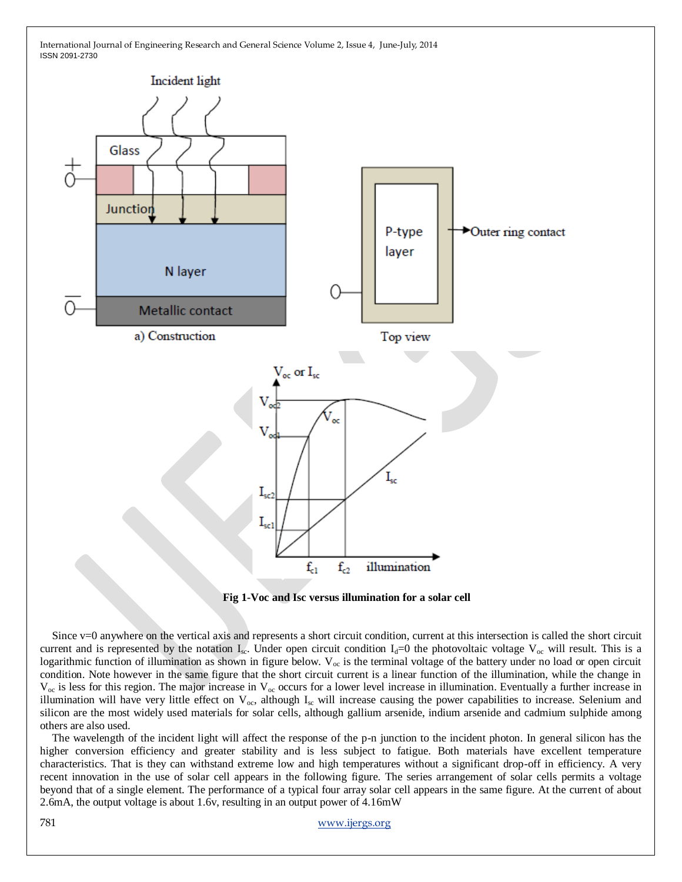



Since v=0 anywhere on the vertical axis and represents a short circuit condition, current at this intersection is called the short circuit current and is represented by the notation I<sub>sc</sub>. Under open circuit condition I<sub>d</sub>=0 the photovoltaic voltage V<sub>oc</sub> will result. This is a logarithmic function of illumination as shown in figure below.  $V_{oc}$  is the terminal voltage of the battery under no load or open circuit condition. Note however in the same figure that the short circuit current is a linear function of the illumination, while the change in  $V_{\text{oc}}$  is less for this region. The major increase in  $V_{\text{oc}}$  occurs for a lower level increase in illumination. Eventually a further increase in illumination will have very little effect on  $V_{\text{oc}}$ , although  $I_{\text{sc}}$  will increase causing the power capabilities to increase. Selenium and silicon are the most widely used materials for solar cells, although gallium arsenide, indium arsenide and cadmium sulphide among others are also used.

The wavelength of the incident light will affect the response of the p-n junction to the incident photon. In general silicon has the higher conversion efficiency and greater stability and is less subject to fatigue. Both materials have excellent temperature characteristics. That is they can withstand extreme low and high temperatures without a significant drop-off in efficiency. A very recent innovation in the use of solar cell appears in the following figure. The series arrangement of solar cells permits a voltage beyond that of a single element. The performance of a typical four array solar cell appears in the same figure. At the current of about 2.6mA, the output voltage is about 1.6v, resulting in an output power of 4.16mW

781 [www.ijergs.org](http://www.ijergs.org/)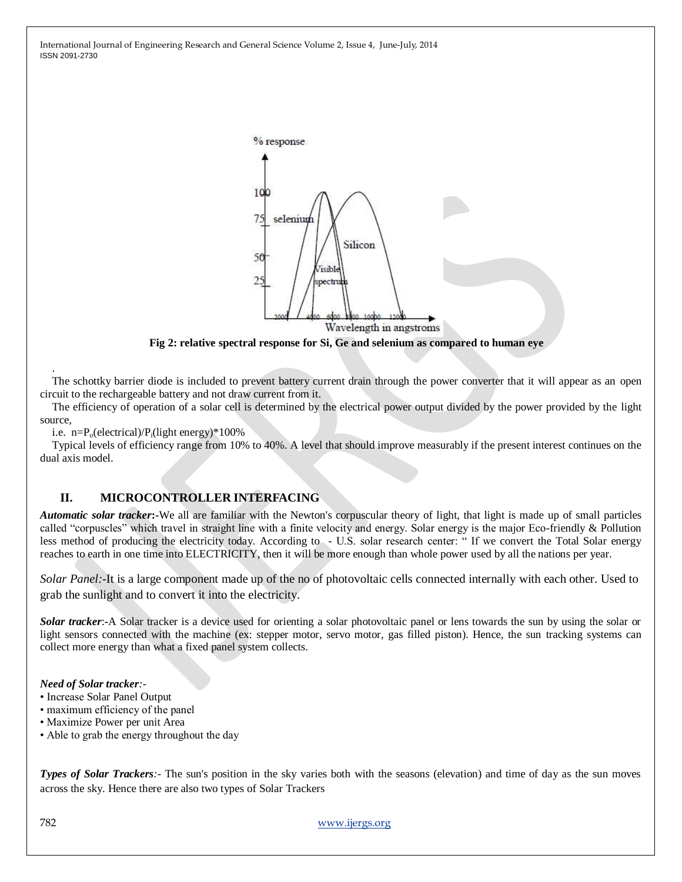

**Fig 2: relative spectral response for Si, Ge and selenium as compared to human eye**

The schottky barrier diode is included to prevent battery current drain through the power converter that it will appear as an open circuit to the rechargeable battery and not draw current from it.

The efficiency of operation of a solar cell is determined by the electrical power output divided by the power provided by the light source,

i.e.  $n = P_0$ (electrical)/ $P_i$ (light energy)\*100%

Typical levels of efficiency range from 10% to 40%. A level that should improve measurably if the present interest continues on the dual axis model.

## **II. MICROCONTROLLER INTERFACING**

*Automatic solar tracker***:-**We all are familiar with the Newton's corpuscular theory of light, that light is made up of small particles called "corpuscles" which travel in straight line with a finite velocity and energy. Solar energy is the major Eco-friendly & Pollution less method of producing the electricity today. According to - U.S. solar research center: " If we convert the Total Solar energy reaches to earth in one time into ELECTRICITY, then it will be more enough than whole power used by all the nations per year.

*Solar Panel:*-It is a large component made up of the no of photovoltaic cells connected internally with each other. Used to grab the sunlight and to convert it into the electricity.

*Solar tracker*:**-**A Solar tracker is a device used for orienting a solar photovoltaic panel or lens towards the sun by using the solar or light sensors connected with the machine (ex: stepper motor, servo motor, gas filled piston). Hence, the sun tracking systems can collect more energy than what a fixed panel system collects.

#### *Need of Solar tracker:-*

- Increase Solar Panel Output
- maximum efficiency of the panel
- Maximize Power per unit Area
- Able to grab the energy throughout the day

*Types of Solar Trackers*: The sun's position in the sky varies both with the seasons (elevation) and time of day as the sun moves across the sky. Hence there are also two types of Solar Trackers

782 [www.ijergs.org](http://www.ijergs.org/)

.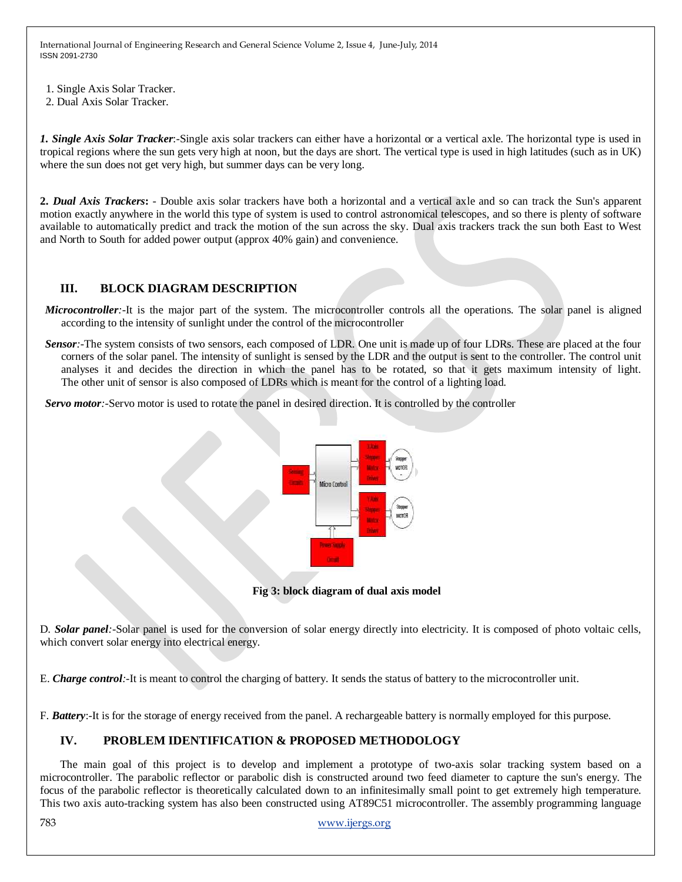- 1. Single Axis Solar Tracker.
- 2. Dual Axis Solar Tracker.

*1. Single Axis Solar Tracker*:-Single axis solar trackers can either have a horizontal or a vertical axle. The horizontal type is used in tropical regions where the sun gets very high at noon, but the days are short. The vertical type is used in high latitudes (such as in UK) where the sun does not get very high, but summer days can be very long.

**2.** *Dual Axis Trackers***:** - Double axis solar trackers have both a horizontal and a vertical axle and so can track the Sun's apparent motion exactly anywhere in the world this type of system is used to control astronomical telescopes, and so there is plenty of software available to automatically predict and track the motion of the sun across the sky. Dual axis trackers track the sun both East to West and North to South for added power output (approx 40% gain) and convenience.

# **III. BLOCK DIAGRAM DESCRIPTION**

- *Microcontroller*:-It is the major part of the system. The microcontroller controls all the operations. The solar panel is aligned according to the intensity of sunlight under the control of the microcontroller
- *Sensor*:-The system consists of two sensors, each composed of LDR. One unit is made up of four LDRs. These are placed at the four corners of the solar panel. The intensity of sunlight is sensed by the LDR and the output is sent to the controller. The control unit analyses it and decides the direction in which the panel has to be rotated, so that it gets maximum intensity of light. The other unit of sensor is also composed of LDRs which is meant for the control of a lighting load.

*Servo motor:-*Servo motor is used to rotate the panel in desired direction. It is controlled by the controller



**Fig 3: block diagram of dual axis model**

D*. Solar panel:-*Solar panel is used for the conversion of solar energy directly into electricity. It is composed of photo voltaic cells, which convert solar energy into electrical energy.

E. *Charge control:-*It is meant to control the charging of battery. It sends the status of battery to the microcontroller unit.

F. *Battery*:-It is for the storage of energy received from the panel. A rechargeable battery is normally employed for this purpose.

## **IV. PROBLEM IDENTIFICATION & PROPOSED METHODOLOGY**

The main goal of this project is to develop and implement a prototype of two-axis solar tracking system based on a microcontroller. The parabolic reflector or parabolic dish is constructed around two feed diameter to capture the sun's energy. The focus of the parabolic reflector is theoretically calculated down to an infinitesimally small point to get extremely high temperature. This two axis auto-tracking system has also been constructed using AT89C51 microcontroller. The assembly programming language